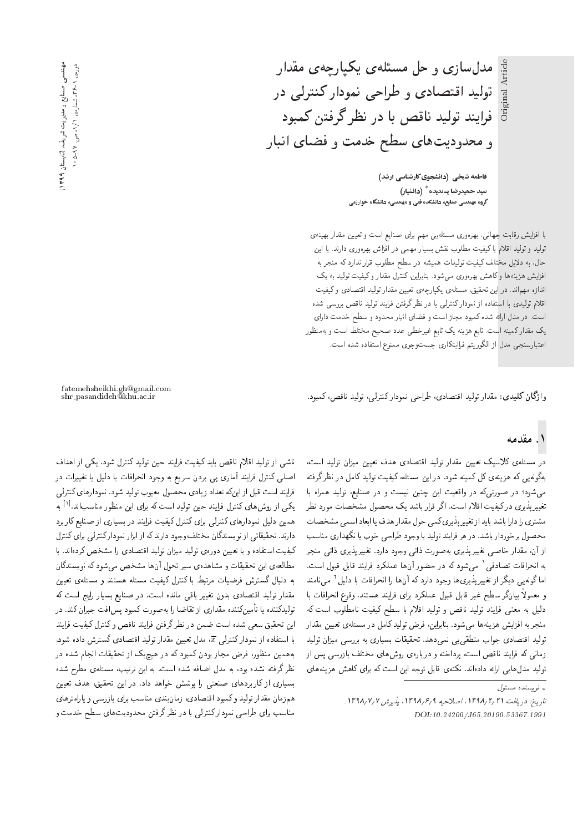Original Article

فاطمه شیخی (دانشجوی کارشناسی ارشد) سيد حميدرضا پسنديده <sup>\*</sup> (دانشيار) گروه مهندسی صنایع، دانشکده فنی و مهندسی، دانشگاه خوارزمی

مدل سازی و حل مسئلهی یکپارچهی مقدار

تولید اقتصادی و طراحی نمودار کنترلی در

فرایند تولید ناقص با در نظر گرفتن کمبود

و محدوديتهاى سطح خدمت و فضاى انبار

با افزایش رقابت جهانی، بهرهوری مسئلهیی مهم برای صنایع است و تعیین مقدار بهینهی تولید و تولید اقلام با کیفیت مطلوب نقش بسیار مهمی در افزاش بهرهوری دارند. با این حال، به دلایل مختلف کیفیت تولیدات همیشه در سطح مطلوب قرار ندارد که منجر به افزایش هزینهها و کاهش بهرهوری می شود. بنابراین، کنترل مقدار و کیفیت تولید به یک اندازه مهماند. در این تحقیق، مسئلهی یکپارچهی تعیین مقدار تولید اقتصادی وکیفیت اقلام تولیدی با استفاده از نمودارکنترل<sub>ی</sub> با در نظر گرفتن فرایند تولید ناقص بررسی شده است. در مدل ارائه شده کمبود مجاز است و فضای انبار محدود و سطح خدمت دارای يک مقدار کمينه است. تابع هزينه يک تابع غيرخطي عدد صحيح مختلط است و بهمنظور اعتبارسنجي مدل از الكوريتم فراابتكاري جستوجوي ممنوع استفاده شده است.

واژگان كليدى: مقدار توليد اقتصادى، طراحى نمودار كنترلى، توليد ناقص، كمبود.

# ۱. مقدمه

در مسئلهى كلاسيك تعيين مقدار توليد اقتصادى هدف تعيين ميزان توليد است. بهگونهیی که هزینه ی کل کمینه شود. در این مسئله، کیفیت تولید کامل در نظر گرفته میشود؛ در صورتیکه در واقعیت این چنین نیست و در صنایع، تولید همراه با تغییرپذیری درکیفیت اقلام است. اگر قرار باشد یک محصول مشخصات مورد نظر مشتري را دارا باشد بايد از تغيير پذيري كمي حول مقدار هدف يا ابعاد اسمى مشخصات محصول برخوردار باشد. در هر فرايند توليد با وجود طراحى خوب يا نگهداري مناسب از آن، مقدار خاصبی تغییرپذیری به صورت ذاتی وجود دارد. تغییرپذیری ذاتی منجر به انحرافات تصادفی٬ میشود که در حضور ان ها عملکرد فرایند قابل قبول است.<br>اینگینست گیلیندنی نیست اما گونهیی دیگر از تغییرپذیری ها وجود دارد که آنها را انحرافات با دلیل ' می نامند<br>اردامه این این مطلب این مصالحت این مطلب این مطلب این مسیح این اینا =@ C=i=QLv= `wkw "OvDUy Ov}=Qi |=Q@ OQmrta pw@k p@=k Q}e K]U Qou=}@ ,qwtat w دلیل به معنی فرایند تولید ناقص و تولید اقلام با سطح کیفیت نامطلوب است که منجر به افزایش هزینهها میشود. بنابراین، فرض تولید کامل در مسئلهی تعیین مقدار تولید اقتصادی جواب منطقی یی نمی دهد. تحقیقات بسیاری به بررسی میزان تولید زمانی که فرایند ناقص است، پرداخته و دربارهی روشهای مختلف بازرسی پس از تولید مدل هایی ارائه دادهاند. نکتهی قابل توجه این است که برای کاهش هزینههای

— (كايستان 199۹) ، صنایع و مدیریت شریف عهدندسی<br>و دورەي ١-۲۶ع ، شمارەي ١/ ، ص. ٥-٥-٥

fatemehsheikhi.gh@gmail.com

ناشبي از توليد اقلام ناقص بايد كيفيت فرايند حين توليد كنترل شود. يكي از اهداف اصلی کنترل فرایند آماری پی بردن سریع به وجود انحرافات با دلیل یا تغییرات در فرايند است قبل از اينكه تعداد زيادى محصول معيوب توليد شود. نمودارهاى كنترل<sub>ى</sub> یکی از روشهای کنترل فرایند حین تولید است که برای این منظور مناسباند.<sup>[۱]</sup> به<br>بایل مساحل است به این کوه این کوه این کوه این منا همین دلیل نمودارهای کنترلی برای کنترل کیفیت فرایند در بسیاری از صنایع کاربرد دارند. تحقیقاتی از نویسندگان مختلف وجود دارند که از ابزار نمودار کنترلی برای کنترل كيفيت استفاده و با تعيين دورهى توليد ميزان توليد اقتصادى را مشخص كردهاند. با مطالعهي اين تحقيقات و مشاهدهي سير تحول أن ها مشخص مىشود كه نويسندگان به دنبال گسترش فرضیات مرتبط با کنترل کیفیت مسئله هستند و مسئلهى تعیین مقدار تولید اقتصادی بدون تغییر باقی مانده است. در صنایع بسیار رایج است که تولیدکننده یا تأمینکننده مقداری از تقاضا را به صورت کمبود پس|فت جبران کند. در اين تحقيق سعى شده است ضمن در نظرگرفتن فرايند ناقص وكنترل كيفيت فرايند با استفاده از نموداركنترلمي  $\overline{x}$ ، مدل تعيين مقدار توليد اقتصادى گسترش داده شود. بههمین منظور، فرض مجاز بودن کمبود که در هیچیک از تحقیقات انجام شده در نظرگرفته نشده بود، به مدل اضافه شده است. به این ترتیب، مسئلهى مطرح شده بسیاری از کاربردهای صنعتی را پوشش خواهد داد. در این تحقیق، هدف تعیین همزمان مقدار تولید و کمبود اقتصادی، زمانبندی مناسب برای بازرسی و پارامترهای مناسب برای طراحی نمودارکنترلی با در نظرگرفتن محدودیتهای سطح خدمت و

 $\int_{\mathbb{R}^d}$ نو پسنده مسئول  $\downarrow$ 

تاريخ: دريافت ١٣٩٨/٢/١٣٩٨، اصلاحيه ١٣٩٨/٤/٩ ١٣٩٨/٧/١. DOI:10.24200/J65.20190.53367.1991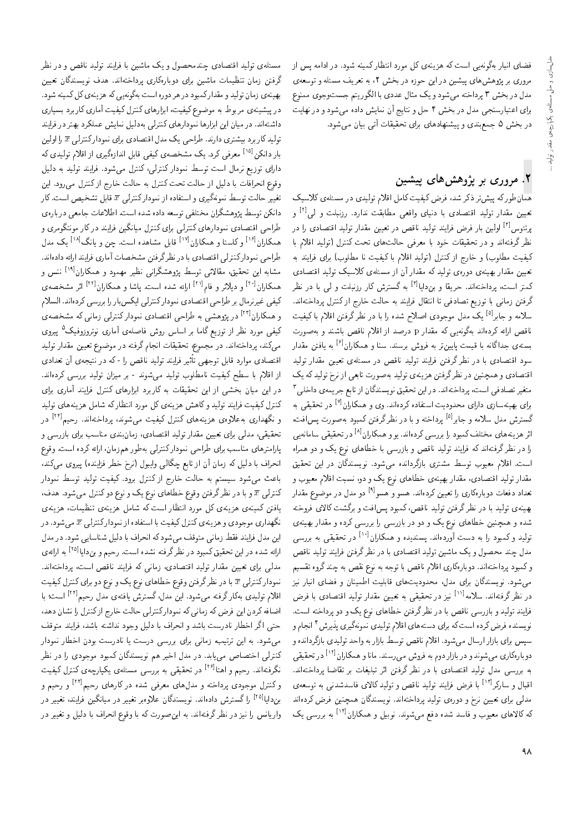فضای انبار بهگونهیی است که هزینهی کل مورد انتظار کمینه شود. در ادامه پس از مروری بر پژوهشهای پیشین در این حوزه در بخش ۲، به تعریف مسئله و توسعهی مدل در بخش ۳ پرداخته میشود و یک مثال عددی با الگوریتم جستوجوی ممنوع برای اعتبارسنجی مدل در بخش ۴ حل و نتایج آن نمایش داده میشود و در نهایت در بخش ۵ جمع بندی و پیشنهادهای برای تحقیقات آتی بیان می شود.

# ۲. مروری بر پژوهش های پیشین

همان طور که پیش تر ذکر شد، فرض کیفیت کامل اقلام تولیدی در مسئلهی کلاسیک تعیین مقدار تولید اقتصادی با دنیای واقعی مطابقت ندارد. رزنبلت و ل<sub>ی</sub>ا<sup>۱۲</sup> و پرتئوس<sup>اتا</sup> اولین بار فرض فرایند تولید ناقص در تعیین مقدار تولید اقتصادی را در نظر گرفتهاند و در تحقیقات خود با معرفی حالت های تحت کنترل (تولید اقلام با کیفیت مطلوب) و خارج از کنترل (تولید اقلام با کیفیت نا مطلوب) برای فرایند به تعیین مقدار بهینهی دورهی تولید که مقدار آن از مسئلهی کلاسیک تولید اقتصادی کمتر است، پرداختهاند. حریقا و بن**د**ایا<sup>[۴]</sup> به گسترش کار رزنبلت و ل<sub>ی</sub> با در نظر گرفتن زمانی با توزیع تصادفی تا انتقال فرایند به حالت خارج از کنترل پرداختهاند. سلامه و جابر<sup>[۵]</sup> یک مدل موجودی اصلاح شده را با در نظرگرفتن اقلام باکیفیت .<br>ناقص ارائه کردهاند بهگونه یی که مقدار p درصد از اقلام ناقص باشند و بهصورت بستهى جداگانه با قيمت پايينتر به فروش برسند. سنا و همكاران<sup>[۶]</sup> به يافتن مقدار سود اقتصادی با در نظر گرفتن فرایند تولید ناقص در مسئلهی تعیین مقدار تولید اقتصادی و همچنین در نظرگرفتن هزینهی تولید بهصورت تابعی از نرخ تولید که یک متغیر تصادفی است، پرداختهاند. در این تحقیق نویسندگان از تابع جریمهی داخلی ۳ برای بهینهسازی دارای محدودیت استفاده کردهاند. وی و همکاران<sup>[۷]</sup> در تحقیقی به گسترش مدل سلامه و جابر<sup>[۵]</sup> پرداخته و با در نظرگرفتن کمبود بهصورت پس|فت، اثر هزینههای مختلف کمبود را بررسی کردهاند. یو و همکاران<sup>[۸]</sup> در تحقیقی سامانهیی را در نظر گرفتهاند که فرایند تولید ناقص و بازرسی با خطاهای نوع یک و دو همراه است. اقلام معیوب توسط مشتری بازگردانده می شود. نویسندگان در این تحقیق مقدار تولید اقتصادی، مقدار بهینهی خطاهای نوع یک و دو، نسبت اقلام معیوب و تعداد دفعات دوبارهکاری را تعیین کردهاند. هسو و هسو<sup>اد</sup>ا دو مدل در موضوع مقدار بهینهی تولید با در نظرگرفتن تولید ناقص،کمبود پس|فت و برگشت کالای فروخته شده و همچنین خطاهای نوع یک و دو در بازرسی را بررسی کرده و مقدار بهینهی تولید و کمبود را به دست آوردهاند. پسندیده و همکاران<sup>[۱۰]</sup> در تحقیقی به بررسی مدل چند محصول و یک ماشین تولید اقتصادی با در نظرگرفتن فرایند تولید ناقص وكمبود پرداختهاند. دوبارهكارى اقلام ناقص با توجه به نوع نقص به چند گروه تقسيم می شود. نویسندگان برای مدل، محدودیتهای قابلیت اطمینان و فضای انبار نیز در نظر گرفتهاند. سلامه<sup>[۱۱]</sup> نیز در تحقیقی به تعیین مقدار تولید اقتصادی با فرض فرایند تولید و بازرسی ناقص با در نظرگرفتن خطاهای نوع یک و دو پرداخته است. نویسنده فرض کرده است که برای دستههای اقلام تولیدی نمونهگیری پذیرش ٔ انجام و سپس برای بازار ارسال میشود. اقلام ناقص توسط بازار به واحد تولیدی بازگردانده و دوبارهکاری می شوند و در بازار دوم به فروش می رسند. مانا و همکاران<sup>[۱۲]</sup> در تحقیقی به بررسی مدل تولید اقتصادی با در نظر گرفتن اثر تبلیغات بر تقاضا پرداختهاند. اقبال و سارکر<sup>[۱۲]</sup> با فرض فرایند تولید ناقص و تولید کالای فاسدشدن<sub>ی</sub> به توسعهی مدلمی برای تعیین نرخ و دورهی تولید پرداختهاند. نویسندگان همچنین فرض کردهاند که کالاهای معیوب و فاسد شده دفع میشوند. نوبیل و همکاران<sup>[۱۴]</sup> به بررسی یک

مسئلهي توليد اقتصادي چندمحصول و يک ماشين با فرايند توليد ناقص و در نظر گرفتن زمان تنظیمات ماشین برای دوبارهکاری پرداختهاند. هدف نویسندگان تعیین بهینه ی زمان تولید و مقدارکمبود در هر دوره است بهگونهیی که هزینه ی کل کمینه شود. در پیشینهی مربوط به موضوع کیفیت، ابزارهای کنترل کیفیت آماری کاربرد بسیاری داشتهاند. در میان این ابزارها نمودارهای کنترلی بهدلیل نمایش عملکرد بهتر در فرایند تولید کاربرد بیشتری دارند. طراحی یک مدل اقتصادی برای نمودارکنترلی  $\overline{x}$  را اولین بار دانکن<sup>[۱۵]</sup> معرفی کرد. یک مشخصهی کیفی قابل اندازهگیری از اقلام تولیدی که دارای توزیع نرمال است توسط نمودار کنترلی، کنترل می شود. فرایند تولید به دلیل وقوع انحرافات با دلیل از حالت تحت کنترل به حالت خارج از کنترل می رود. این تغيير حالت توسط نمونهگيري و استفاده از نمودار كنترلي  $\overline{x}$  قابل تشخيص است. كار دانکن توسط بژوهشگران مختلفی توسعه داده شده است. اطلاعات جامعی دربارهی طراحی اقتصادی نمودارهای کنترلمی برای کنترل میانگین فرایند در کار مونتگومری و همکاران<sup>[۱۶]</sup> و کاستا و همکاران<sup>[۱۷]</sup> قابل مشاهده است. چن و یانگ<sup>[۱۸]</sup> یک مدل طراحی نمودارکنترلی اقتصادی با در نظرگرفتن مشخصات آماری فرایند ارائه دادهاند. مشابه این تحقیق، مقالاتی توسط پژوهشگرانی نظیر مهمود و همکاران<sup>[۱۹]</sup> ننس و همکاران<sup>[۲۰]</sup> و دیلاتر و فام<sup>[۲۱]</sup> ارائه شده است. یاشا و همکاران<sup>[۲۲]</sup> اثر مشخصه ی كيفي غيرنرمال بر طراحي اقتصادي نمودار كنترلى ايكسبار را بررسي كردهاند. السلام و همکاران<sup>[۲۲]</sup> در پژوهشی به طراحی اقتصادی نمودارکنترلی زمانی که مشخصهی کیفی مورد نظر از توزیع گاما بر اساس روش فاصلهی آماری نوتروزوفیک<sup>۵</sup> پیروی می کند، پرداختهاند. در مجموع، تحقیقات انجام گرفته در موضوع تعیین مقدار تولید اقتصادی موارد قابل توجهی تأثیر فرایند تولید ناقص را -که در نتیجهی آن تعدادی از اقلام با سطح کیفیت نامطلوب تولید می شوند - بر میزان تولید بررسی کردهاند. در این میان بخشی از این تحقیقات به کاربرد ابزارهای کنترل فرایند آماری برای کنترل کیفیت فرایند تولید و کاهش هزینهی کل مورد انتظارکه شامل هزینههای تولید و نگهداری به علاوهی هزینههای کنترل کیفیت می شوند، برداختهاند. رحیم<sup>۲۴۱</sup> در تحقیقی، مدلی برای تعیین مقدار تولید اقتصادی، زمان بندی مناسب برای بازرسی و یارامترهای مناسب برای طراحی نمودارکنترلی بهطور همزمان. ارائه کرده است. وقوع انحراف با دلیل که زمان آن از تابع چگالبی وایبول (نرخ خطر فزاینده) پیروی میکند، باعث می شود سیستم به حالت خارج از کنترل برود. کیفیت تولید توسط نمودار کنترلمی  $\overline{x}$  و با در نظرگرفتن وقوع خطاهای نوع یک و نوع دوکنترل میشود. هدف، یافتن کمینهی هزینهی کل مورد انتظار است که شامل هزینهی تنظیمات، هزینهی نگهداري موجودي و هزينهي كنترل كيفيت با استفاده از نمودار كنترلى  $\overline{x}$  مىشود. در این مدل فرایند فقط زمانی متوقف می شود که انحراف با دلیل شناسایی شود. در مدل ارائه شده در این تحقیق کمبود در نظرگرفته نشده است. رحیم و بندایا<sup>[۲۵]</sup> به ارائه ی مدلی برای تعیین مقدار تولید اقتصادی، زمانی که فرایند ناقص است، پرداختهاند. نمودارکنترلمی  $\overline{x}$  با در نظرگرفتن وقوع خطاهای نوع یک و نوع دو برای کنترل کیفیت اقلام توليدي بهكارگرفته مى شود. اين مدل،گسترش يافتهى مدل رحيم<sup>۲۴۱]</sup> است؛ با اضافه کردن این فرض که زمانی که نمودار کنترلی حالت خارج از کنترل را نشان دهد، حتى اگر اخطار نادرست باشد و انحراف با دليل وجود نداشته باشد، فرايند متوقف می شود. به این ترتیب، زمانی برای بررسی درست یا نادرست بودن اخطار نمودار .<br>کنترلی اختصاص می،یابد. در مدل اخیر هم نویسندگان کمبود موجودی را در نظر نگرفتهاند. رحیم و اهتا<sup>۲۶]</sup> در تحقیقی به بررسی مسئلهی یکپارچهی کنترل کیفیت و کنترل موجودی پرداخته و مدلهای معرفی شده در کارهای رحیم<sup>[۲۴]</sup> و رحیم و بندایا<sup>[۲۵]</sup> راگسترش دادهاند. نویسندگان علاوهبر تغییر در میانگین فرایند، تغییر در واریانس را نیز در نظر گرفتهاند. به این صورت که با وقوع انحراف با دلیل و تغییر در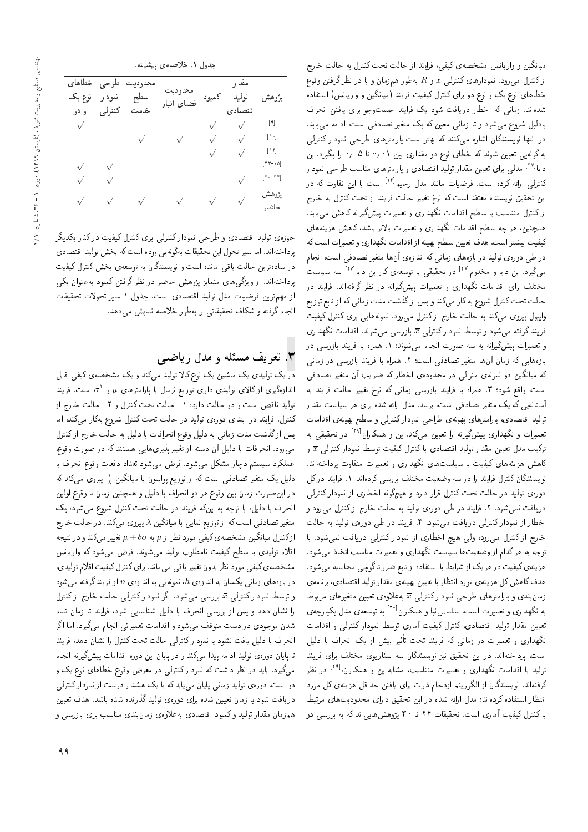| میانگین و واریانس مشخصهی کیفی، فرایند از حالت تحت کنترل به حالت خارج                                                                                                              |
|-----------------------------------------------------------------------------------------------------------------------------------------------------------------------------------|
| از کنترل می $_0$ رود. نمودارهای کنترلمی $\overline{x}$ و $R$ بهطور هم $_0$ نان و با در نظر گرفتن وقوع                                                                             |
| خطاهای نوع یک و نوع دو برای کنترل کیفیت فرایند (میانگین و واریانس) استفاده                                                                                                        |
| شدهاند. زمانی که اخطار دریافت شود یک فرایند جستوجو برای یافتن انحراف                                                                                                              |
| بادلیل شروع میشود و تا زمانی معین که یک متغیر تصادفی است، ادامه می،یابد.                                                                                                          |
| در انتها نویسندگان اشاره میکنند که بهتر است پارامترهای طراحی نمودار کنترلی                                                                                                        |
| به گونه یی تعیین شوند که خطای نوع دو مقداری بین ۰٫۰۱ تا ۰٫۵ را بگیرد. بن                                                                                                          |
| دایا <sup>۱۲۷۱</sup> مدل <sub>ی</sub> برای تعیین مقدار تولید اقتصادی و پارامترهای مناسب طراحی نمودار                                                                              |
| کنترل <sub>ی</sub> ارائه کرده است. فرضیات مانند مدل رحیم <sup>۲۲۱]</sup> است با این تفاوت که در                                                                                   |
| این تحقیق نویسنده معتقد است که نرخ تغییر حالت فرایند از تحت کنترل به خارج                                                                                                         |
| ازکنترل متناسب با سطح اقدامات نگهداری و تعمیرات پیشگیرانه کاهش می،یابد.                                                                                                           |
| همچنین، هر چه سطح اقدامات نگهداری و تعمیرات بالاتر باشد، کاهش هزینههای                                                                                                            |
| کیفیت بیشتر است. هدف تعیین سطح بهینه از اقدامات نگهداری و تعمیرات است که                                                                                                          |
| در طی دورهی تولید در بازههای زمانی که اندازهی آنها متغیر تصادفی است، انجام                                                                                                        |
| م <sub>ح</sub> گیرد. بن دایا و مخدوم <sup>[۲۸]</sup> در تحقیقی با توسعهی کار بن دایا <sup>[۲۷]</sup> سه سیاست                                                                     |
| مختلف برای اقدامات نگهداری و تعمیرات پیشگیرانه در نظر گرفتهاند. فرایند در                                                                                                         |
| حالت تحت کنترل شروع به کار میکند و پس از گذشت مدت زمانی که از تابع توزیع                                                                                                          |
| وایبول پیروی میکند به حالت خارج از کنترل میرود. نمونههایی برای کنترل کیفیت                                                                                                        |
| فرایند گرفته میشود و توسط نمودار کنترلی $\overline{x}$ بازرسی میشوند. اقدامات نگهداری                                                                                             |
| و تعمیرات پیشگیرانه به سه صورت انجام میشوند: ۱. همراه با فرایند بازرسی در                                                                                                         |
| بازههایی که زمان آنها متغیر تصادفی است؛ ۲. همراه با فرایند بازرسی در زمانی                                                                                                        |
| که میانگین دو نمونهی متوالی در محدودهی اخطار که ضریب آن متغیر تصادفی                                                                                                              |
| است، واقع شود؛ ۳. همراه با فرایند بازرسی زمانی که نرخ تغییر حالت فرایند به                                                                                                        |
| أستانهیی که یک متغیر تصادفی است، برسد. مدل ارائه شده برای هر سیاست مقدار                                                                                                          |
| تولید اقتصادی، پارامترهای بهمینهی طراحی نمودار کنترلی و سطح بهینهی اقدامات                                                                                                        |
| تعمیرات و نگهداری پیشگیرانه را تعیین م <sub>یک</sub> نند. پن و همکاران <sup>۱۲۹</sup> ۱ در تحقیقی به                                                                              |
| ترکیب مدل تعیین مقدار تولید اقتصادی با کنترل کیفیت توسط نمودار کنترلمی $\overline{x}$ و                                                                                           |
| کاهش هزینههای کیفیت با سیاستهای نگهداری و تعمیرات متفاوت پرداختهاند.                                                                                                              |
| نویسندگان کنترل فرایند را در سه وضعیت مختلف بررسی کردهاند: ۱. فرایند در کل                                                                                                        |
| دورهی تولید در حالت تحت کنترل قرار دارد و هیچگونه اخطاری از نمودار کنترلی                                                                                                         |
| دریافت نمیشود. ۲. فرایند در طی دورهی تولید به حالت خارج ازکنترل میر <mark>رد</mark> و                                                                                             |
| اخطار از نمودار کنترلی دریافت میشود. ۳. فرایند در طی دورهی تولید به حالت                                                                                                          |
| خارج از کنترل میرود، ولی هیچ اخطاری از نمودار کنترلی دریافت نمیشود. با                                                                                                            |
| توجه به هرکدام از وضعیتها سیاست نگهداری و تعمیرات مناسب اتخاذ میشود.                                                                                                              |
| هزینهی کیفیت در هریک از شرایط با استفاده از تابع ضرر تاگوچی محاسبه میشود.                                                                                                         |
| هدف کاهش کل هزینه ی مورد انتظار با تعیین بهینهی مقدار تولید اقتصادی، برنامهی                                                                                                      |
| زمان $\mu$ ده و پارامترهای طراحی نمودار کنترلی $\overline{x}$ بهءلاوه $\sigma$ تعیین متغیرهای مربوط                                                                               |
| به نگهداری و تعمیرات است. سلماسiیا و همکاران <sup>[۳۰]</sup> به توسعه $\omega$ مدل یکپارچه $\omega$<br>تعیین مقدار تولید اقتصادی، کنترل کیفیت آماری توسط نمودار کنترلمی و اقدامات |
|                                                                                                                                                                                   |
| نگهداری و تعمیرات در زمانی که فرایند تحت تأثیر بیش از یک انحراف با دلیل<br>است، پرداختهاند. در این تحقیق نیز نویسندگان سه سناریوی مختلف برای فرایند                               |
|                                                                                                                                                                                   |
| تولید با اقدامات نگهداری و تعمیرات متناسب، مشابه پن و همکاران، <sup>[۲۹]</sup> در نظر<br>گرفتهاند. نویسندگان از الگوریتم ازدحام ذرات برای یافتن حداقل هزینهی کل مورد              |
| انتظار استفاده کردهاند؛ مدل ارائه شده در این تحقیق دارای محدودیتهای مرتبط                                                                                                         |
| با کنترل کیفیت آماری است. تحقیقات ۲۴ تا ۳۰ پژوهش۵ایی ند که به بررسی دو                                                                                                            |
|                                                                                                                                                                                   |

|  | جدول ۱. خلاصه ی پیشبنه. |  |  |
|--|-------------------------|--|--|
|--|-------------------------|--|--|

| خطاهاى<br>نوع یک<br>و دو | طراحى<br>نمودار<br>كنترلى | محدوديت<br>سطح<br>خدمت | محد<br>۵ د نه<br>فضاى انبار | كمبود      | مقدار<br>توليد<br>اقتصادي | يژوهشر                                                         |
|--------------------------|---------------------------|------------------------|-----------------------------|------------|---------------------------|----------------------------------------------------------------|
| $\sqrt{}$                |                           |                        |                             |            | $\sqrt{}$                 | $[\mathcal{A}]$                                                |
|                          |                           | $\sqrt{ }$             |                             | V          | $\sqrt{}$                 | $[\lambda \circ]$                                              |
|                          |                           |                        |                             | $\sqrt{}$  |                           | $\lfloor \mathcal{N} \rfloor$                                  |
|                          |                           |                        |                             |            |                           | $ 11 - 10 $                                                    |
|                          | $\sqrt{ }$                |                        |                             |            |                           | $\lceil \mathbf{r} \cdot - \mathbf{r} \cdot \mathbf{r} \rceil$ |
| $\sqrt{}$                | $\sqrt{}$                 |                        |                             | $\sqrt{ }$ |                           | يژوهش<br>حاضر                                                  |

حوزهى توليد اقتصادى و طراحى نمودار كنترلى براى كنترل كيفيت در كنار يكديگر يرداختهاند. اما سير تحول اين تحقيقات بهگونهيي بوده است كه بخش توليد اقتصادى در سادهترین حالت باقی مانده است و نویسندگان به توسعهی بخش کنترل کیفیت يرداختهاند. از ويژگي هاي متمايز پژوهش حاضر در نظر گرفتن كمبود به عنوان يكي از مهم ترين فرضيات مدل توليد اقتصادى است. جدول ١ سير تحولات تحقيقات انجام گرفته و شکاف تحقیقاتی را بهطور خلاصه نمایش می دهد.

## ۳. تعریف مسئله و مدل ریاضی

در یک تولیدی یک ماشین یک نوع کالا تولید مه کند و یک مشخصه ی کیفی قابل اندازهگیری از کالای تولیدی دارای توزیع نرمال با پارامترهای µ و ۲۰ است. فرایند<br>ماید باشیاست است توليد ناقص است و دو حالت دارد: ١- حالت تحت كنترل و ٢- حالت خارج از كنترل. فرايند در ابتداى دورهى توليد در حالت تحت كنترل شروع بهكار مى كند، اما پس ازگذشت مدت زمانی به دلیل وقوع انحرافات با دلیل به حالت خارج ازکنترل می رود. انحرافات با دلیل آن دسته از تغییر پذیری هایی هستند که در صورت وقوع، عملكرد سيستم دچار مشكل مىشود. فرض مىشود تعداد دفعات وقوع انحراف با دلیل یک متغیر تصادفی است که از توزیع پواسون با میانگین  $\frac{\lambda}{\lambda}$  پیروی میکند که<br>اباستان تصاویر در این صورت زمان بین وقوع هر دو انحراف با دلیل و همچنین زمان تا وقوع اولین انحراف با دلیل، با توجه به اینکه فرایند در حالت تحت کنترل شروع می شود، یک متغیر تصادفی است که از توزیع نمایی با میانگین ۸ پیروی میکند. در حالت خارج ازكنترل ميانگين مشخصهي كيفي مورد نظراز  $\mu$  به  $\delta \sigma$  + تغيير ميكند و در نتيجه اقلام تولیدی با سطح کیفیت نامطلوب تولید میشوند. فرض می شود که واریانس مشخصهي كيفي مورد نظر بدون تغيير باقي ميياند. براي كنترل كيفيت اقلام توليدي، در بازههای زمانی یکسان به اندازهی  $h$  نمونهیی به اندازهی  $n$  از فرایند گرفته می شود و توسط نمودار کنترلی  $\bar{x}$  بررسی میشود. اگر نمودار کنترلی حالت خارج از کنترل را نشان دهد و سن از بررسی انحراف با دلیل شناسایی شود، فرایند تا زمان تمام شدن موجودي در دست متوقف مي شود و اقدامات تعميراتي انجام مي گيرد. اما اگر انحراف با دلیل یافت نشود یا نمودارکنترلی حالت تحت کنترل را نشان دهد، فرایند تا پایان دورهی تولید ادامه پیدا مهکند و در پایان این دوره اقدامات پیشگیرانه انجام میگیرد. باید در نظر داشت که نمودار کنترلمی در معرض وقوع خطاهای نوع یک و دو است. دورهی تولید زمانی پایان می یابدکه یا یک هشدار درست از نمودارکنترلی دریافت شود یا زمان تعیین شده برای دورهی تولید گذرانده شده باشد. هدف تعیین همزمان مقدار تولید و کمبود اقتصادی بهعلاوهی زمانبندی مناسب برای بازرسی و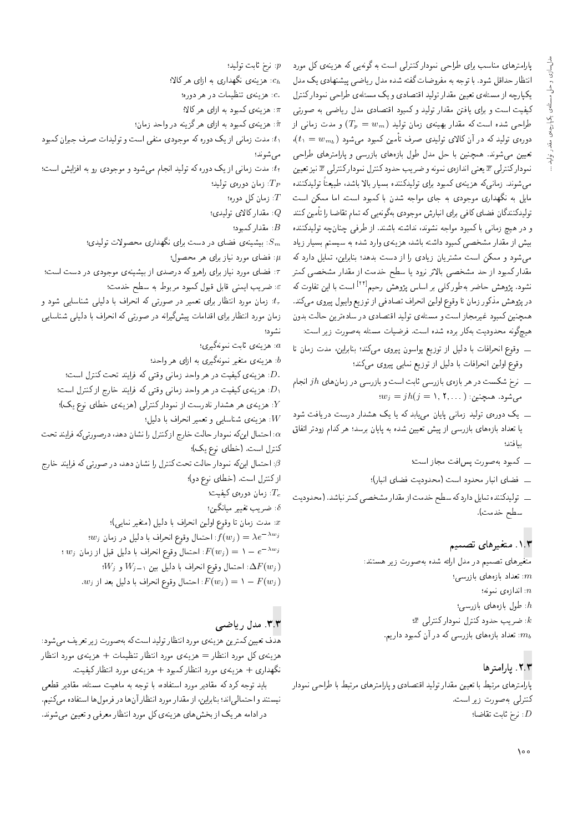یا رامترهای مناسب برای طراحی نمودار کنترلی است به گونهیی که هزینهی کل مورد انتظار حداقل شود. با توجه به مفروضات گفته شده مدل ریاضیی پیشنهادی یک مدل یکپارچه از مسئله ی تعیین مقدار تولید اقتصادی و یک مسئلهی طراحی نمودارکنترل كيفيت است و براى يافتن مقدار توليد و كمبود اقتصادى مدل رياضى به صورتى طراحی شده است که مقدار بهینهی زمان تولید  $(T_p = w_m)$  و مدت زمانی از  $\mu(t_1=w_{m_b})$  دورهى توليد كه در آن كالاى توليدى صرف تامين كمبود مىشود.<br>مصدر مستقدمة تعیین می شوند. همچنین با حل مدل طول بازههای بازرسی و پارامترهای طراحی نموداركنترلمي  $\overline{x}$  يعنى اندازوي نمونه و ضريب حدود كنترل نموداركنترلمي  $\overline{x}$  نيز تعيين مىشوند. زمانىكه هزينهى كمبود براى توليدكننده بسيار بالا باشد، طبيعتا توليدكننده<br>سالمات مسترك مایل به نگهداری موجودی به جای مواجه شدن با کمبود است. اما ممکن است تولیدکنندگان فضای کافی برای انبارش موجودی بهگونه پی که تمام تقاضا را تأمین کنند و در هیچ زمانی با کمبود مواجه نشوند، نداشته باشند. از طرفی چنانچه تولیدکننده بیش از مقدار مشخصی کمبود داشته باشد، هزینهی وارد شده به سیستم بسیار زیاد می شود و ممکن است مشتریان زیادی را از دست بدهد؛ بنابراین، تمایل دارد که مقدار کمبود از حد مشخصی بالاتر نرود یا سطح خدمت از مقدار مشخصی کمتر نشود. پژوهش حاضر بهطورکلبی بر اساس پژوهش رحیم<sup>[۲۲]</sup> است با این تفاوت که<br>مستقل است ک در پژوهش مذکور زمان تا وقوع اولین انحراف تصادفی از توزیع وایبول پیروی می،کند. همچنین کمبود غیرمجاز است و مسئلهی تولید اقتصادی در سادهترین حالت بدون هيچگونه محدوديت بهكار برده شده است. فرضيات مسئله بهصورت زير است:

- ـ وقوع انحرافات با دليل از توزيع پواسون پيروى مى كند؛ بنابراين، مدت زمان تا وقوع اولین انحرافات با دلیل از توزیع نمایی پیروی میکند؛
- ــ نرخ شکست در هر بازهی بازرسی ثابت است و بازرسی در زمان های  $j\,h$  انجام $$  $w_j = jh(j = 1, 1, \ldots)$ : می شود. همچنین
- ــ يک دورهى توليد زمانى پايان مىيابد که يا يک هشدار درست دريافت شود یا تعداد بازههای بازرسی از پیش تعیین شده به پایان برسد؛ هرکدام زودتر اتفاق بيا فتد؛
	- ــ كمبود به صورت پس افت مجاز است؛
	- ـ فضاى انبار محدود است (محدوديت فضاى انبار)؛
- ـ قوليدكننده تمايل داردكه سطح خدمت از مقدار مشخصي كمتر نباشد. (محدوديت سطح خدمت).

#### ۰۱.۳ متغیرهای تصمیم

متغيرهاى تصميم در مدل ارائه شده بهصورت زير هستند:  $\mathcal{H}$ : تعداد بازههای بازرسی:  $\omega$  اندازه $x$  نمونه:  $\colon$ طول بازههای بازرسی:  $\bar{x}$  ضريب حدود كنترل نمودار كنترلى: . تعداد بازههای بازرسی که در آن کمبود داریم:  $m_b$ 

## $\mathbf{y}$ . يارامترها

پارآمترهای مرتبط با تعیین مقدار تولید اقتصادی و پارامترهای مرتبط با طراحی نمودار كنترلمي به صورت زير است.  $:$ نرخ ثابت تقاضا $:D$ 

: نرخ ثابت توليد؛  $p$ : هزینهی نگهداری به ازای هرکالا؛

- هزينهي تنظيمات در هر دوره؛  $c$
- هزینهی کمبود به ازای هرکالا؛  $\pi$
- $\hat{\pi}$  هزینهی کمبود به ازای هرگزینه در واحد زمان: $\hat{\pi}$
- t۱: مدت زمانی از یک دوره که موجودی منفی است و تولیدات صرف جبران کمبود مى شوند؛
- tr: مدت زمانی از یک دوره که تولید انجام می شود و موجودی رو به افزایش است؛
	- زمان دورهى توليد؛  $T_P$
	- نومان كل دوره؛  $T$ : مقدار كالاي توليدي؛
		- $B$  مقدار كمبود:  $B$
	- : بیشینهی فضای در دست برای نگهداری محصولات تولیدی؛  $S_m$ 
		- : فضای مورد نیاز برای هر محصول؛  $\mu$
- .<br>ت فضای مورد نیاز برای راهرو که درصدی از بیشینهی موجودی در دست است؛  $\varepsilon$  ضريب ايمنى قابل قبول كمبود مربوط به سطح خدمت؛  $\varepsilon$
- : زمان مورد انتظار برای تعمیر در صورتی که انحراف با دلیلی شناسایی شود و زمان مورد انتظار برای اقدامات پیشگیرانه در صورتی که انحراف با دلیلی شناسایی
	- نشود؛
	- : هزينهى ثابت نمونهگيرى؛
	- هزینهی متغیر نمونهگیری به ازای هر واحد؛  $b$
	- . هزينه يكيفيت در هر واحد زماني وقتي كه فرايند تحت كنترل است؛  $D\cdot$
	- هزينه يكيفيت در هر واحد زمانى وقتى كه فرايند خارج ازكنترل است؛  $D_{\Lambda}$ . هزینه ی هر هشدار نادرست از نمودارکنترلی (هزینه ی خطای نوع یک)؛  $Y$ 
		- $\epsilon$ هزينهي شناسايي و تعمير انحراف با دليل:  $W$
- احتمال اینکه نمودار حالت خارج ازکنترل را نشان دهد، درصورتیکه فرایند تحت $\alpha$ كنترل است. (خطاى نوع يک)؛
- : احتمال اینکه نمودار حالت تحت کنترل را نشان دهد، در صورتی که فرایند خارج : $\beta$ از كنترل است. (خطاى نوع دو)؛
	- ا زمان دورهى كيفيت:  $T_{c}$
	- د ضريب تغيير ميانگين؛ $\delta$
	- . مدت زمان تا وقوع اولين انحراف با دليل (متغير نمايي)؛  $x$
	- $w_j$  احتمال وقوع انحراف با دلیل در زمان: $f(w_j)=\lambda e^{-\lambda w_j}$
	- :  $w_j$  احتمال وقوع انحراف با دلیل قبل از زمان  $F(w_j) = 1 e^{-\lambda w_j}$ 
		- $\langle W_j \rangle = W_{j-1} \setminus W_{j-1}$ ا حتمال وقوع انحراف با دلیل بین  $\Delta F(w_j)$
		- .  $w_j$  احتمال وقوع انحراف با دليل بعد از  $F(w_j) = \lambda F(w_j)$

#### ٣.٣. مدل رياضي

هدف تعیین کمترین هزینهی مورد انتظار تولید است که بهصورت زیر تعریف میشود: هزينه ي كل مورد انتظار = هزينه ي مورد انتظار تنظيمات + هزينه ي مورد انتظار نگهداری + هزینهی مورد انتظار کمبود + هزینهی مورد انتظار کیفیت.

باید توجه کرد که مقادیر مورد استفاده، با توجه به ماهیت مسئله، مقادیر قطعی نيستند و احتمالي اند؛ بنابراين، از مقدار مورد انتظار آن ها در فرمول ها استفاده مى كنيم. در ادامه هر یک از بخش های هزینهی کل مورد انتظار معرفی و تعیین می شوند.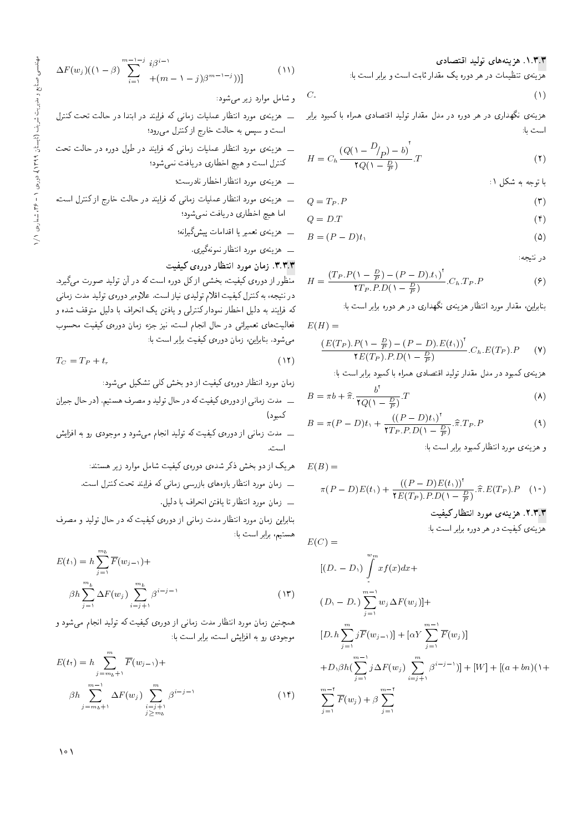هزینه ی تنظیمات در هر دوره یک مقدار ثابت است و برابر است با:

$$
C_{\ast} \tag{1}
$$

است با:

$$
H = C_h \frac{(Q(\lambda - \frac{D}{p}) - b)^{\tau}}{\tau Q(\lambda - \frac{D}{p})}.
$$
\n(7)

با توجه به شکل ۱:

$$
Q = T_P.P
$$
 (7)

$$
Q = D.T \tag{f}
$$

$$
B = (P - D)t_1 \tag{2}
$$

در نتيجه:

 $(1)$ 

$$
H = \frac{(T_P.P(\Lambda - \frac{D}{P}) - (P - D).t_{\Lambda})^{\dagger}}{\Upsilon_{P}.P.D(\Lambda - \frac{D}{P})} . C_{h}.T_P.P
$$
\n(9)

بنابراین، مقدار مورد انتظار هزینهی نگهداری در هر دوره برابر است با:

$$
E(H) =
$$

$$
\frac{\left(E(T_P).P(\mathbf{1} - \frac{D}{P}) - (P - D).E(t_1)\right)^{\mathsf{T}}}{\mathsf{Y}E(T_P).P.D(\mathbf{1} - \frac{D}{P})}.C_h.E(T_P).P\qquad(\mathsf{Y})
$$

هزینهی کمبود در مدل مقدار تولید اقتصادی همراه با کمبود برابر است با:<br>-

$$
B = \pi b + \hat{\pi} \cdot \frac{b^{\dagger}}{\tau Q(\lambda - \frac{D}{P})} \cdot T
$$
 (A)

$$
B = \pi (P - D)t_1 + \frac{\left((P - D)t_1\right)^{\dagger}}{\Upsilon T_P \cdot P.D\left(1 - \frac{D}{P}\right)} \cdot \widehat{\pi}.T_P.P
$$
\n(4)

و هزینه ی مورد انتظار کمبود برابر است با:

$$
E(B) =
$$
  
\n
$$
\pi(P - D)E(t_1) + \frac{((P - D)E(t_1))^\dagger}{\tau E(T_P).P.D(1 - \frac{D}{P})}.\widehat{\pi}.E(T_P).P
$$

#### ۲.۳.۳ هزینه ی مورد انتظار کیفیت

هزینهی کیفیت در هر دوره برابر است با:

$$
E(C) =
$$

$$
[(D - D_{1}) \int_{i}^{w_{m}} x f(x) dx +
$$
  
\n
$$
(D_{1} - D_{2}) \sum_{j=1}^{m-1} w_{j} \Delta F(w_{j})] +
$$
  
\n
$$
[D_{2} h \sum_{j=1}^{m} j \overline{F}(w_{j-1})] + [\alpha Y \sum_{j=1}^{m-1} \overline{F}(w_{j})]
$$
  
\n
$$
+ D_{1} \beta h (\sum_{j=1}^{m-1} j \Delta F(w_{j}) \sum_{i=j+1}^{m} \beta^{i-j-1})] + [W] + [(a + bn)(1 +
$$
  
\n
$$
\sum_{j=1}^{m-1} \overline{F}(w_{j}) + \beta \sum_{j=1}^{m-1} \sum_{j=1}^{m-1} (\beta^{i-j-1})] + [W] + [(a + bn)(1 +
$$

$$
\Delta F(w_j)((1-\beta)\sum_{i=1}^{m-1-j}i\beta^{i-1}+(m-1-j)\beta^{m-1-j})]
$$
\n(11)

%OwW|t Q}R OQ=wt pt=W w

- هزینهی نگهداری در هر دوره در مدل مقدار تولید اقتصادی همراه با کمبود برابر ـــ هزینهی مورد انتظار عملیات زمانی که فرایند در ابتدا در حالت تحت کنترل<br>ا است و سپس به حالت خارج از کنترل می رود؛
- ـــ هزینهی مورد انتظار عملیات زمانی که فرایند در طول دوره در حالت تحت کنترل است و هیچ اخطاری دریافت نمیشود؛
	- ــ هزينهى مورد انتظار اخطار نادرست؛
- ــ هزينه ي مورد انتظار عمليات زماني كه فرايند در حالت خارج ازكنترل است، اما هيچ اخطارى دريافت نمى شود؛
	- \_\_ هزينهى تعمير يا اقدامات پيشگيرانه؛
		- \_\_ هزینه ی مورد انتظار نمونهگیری.

#### ۳.۳.۳. زمان مورد انتظار دوره**ی کیفیت**

.<br>منظور از دوره، کیفیت، بخشی از کل دوره است که در آن تولید صورت میگیرد. در نتیجه، به کنترل کیفیت اقلام تولیدی نیاز است. علاوهبر دورهی تولید مدت زمانبی که فرایند به دلیل اخطار نمودارکنترلی و یافتن یک انحراف با دلیل متوقف شده و فعالیت های تعمیراتی در حال انجام است، نیز جزء زمان دورهی کیفیت محسوب می،شود. بنابراین، زمان دورهی کیفیت برابر است با:

$$
T_C = T_P + t_r \tag{17}
$$

زمان مورد انتظار دورهی کیفیت از دو بخش کلی تشکیل میشود:

u=Q@H p=L QO "s}DUy hQYt w O}rwD p=L QO xm C}i}m |xQwO R= |v=tR COt Ow@tm

ــ مدت زمانى از دورهى كيفيت كه توليد انجام مى شود و موجودى رو به افزايش است.

هریک از دو بخش ذکر شدهی دورهی کیفیت شامل موارد زیر هستند:

- ـــ زمان مورد انتظار بازههای بازرسی زمانی که فرایند تحت کنترل است.
	- ـــ زمان مورد انتظار تا يافتن انحراف با دليل.

بنابراین زمان مورد انتظار مدت زمانی از دورهی کیفیت که در حال تولید و مصرف هستیم، برابر است با:

$$
E(t_1) = h \sum_{j=1}^{m_b} \overline{F}(w_{j-1}) +
$$
  

$$
\beta h \sum_{j=1}^{m_b} \Delta F(w_j) \sum_{i=j+1}^{m_b} \beta^{i-j-1}
$$
 (17)

همچنین زمان مورد انتظار مدت زمانی از دورهی کیفیت که تولید انجام می شود و موجودی رو به افزایش است، برابر است با:

$$
E(t_1) = h \sum_{j=m_b+1}^{m} \overline{F}(w_{j-1}) +
$$
  

$$
\beta h \sum_{j=m_b+1}^{m-1} \Delta F(w_j) \sum_{\substack{i=j+1 \ j \ge m_b}}^{m} \beta^{i-j-1}
$$
 (1f)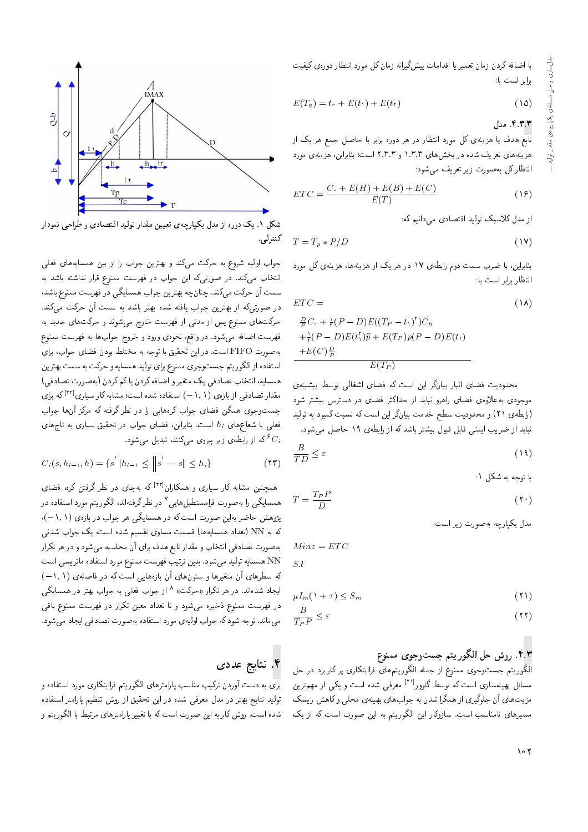با اضافه كردن زمان تعمير يا اقدامات پيشگيرانه زمان كل مورد انتظار دورهى كيفيت برابر است با:

$$
E(T_q) = t_r + E(t_1) + E(t_1)
$$
\n(10)

#### ۴.۳.۳. مدل

تابع هدف یا هزینهی کل مورد انتظار در هر دوره برابر با حاصل جمع هر یک از هزینههای تعریف شده در بخش های ۱.۳.۳ و ۲.۳.۳ است؛ بنابراین، هزینهی مورد انتظارکل بهصورت زیر تعریف مهرشود:

$$
ETC = \frac{C \cdot + E(H) + E(B) + E(C)}{E(T)} \tag{18}
$$

از مدل کلاسیک تولید اقتصادی می دانیم که:

$$
T = T_p * P/D \tag{19}
$$

.<br>بنابراین، با ضرب سمت دوم رابطهی ۱۷ در هر یک از هزینهها، هزینهی کل مورد انتظار مام است ما:

$$
ETC = \qquad \qquad (\Lambda)
$$

$$
\frac{E}{P}C_{+} + \frac{1}{r}(P - D)E((TP - t_{1}))C_{h}
$$

$$
+ \frac{1}{r}(P - D)E(t_{1}^{*})\hat{p} + E(T_{P})p(P - D)E(t_{1})
$$

$$
+ E(C)\frac{D}{P}
$$

$$
F(T_{P})
$$

محدودیت فضای انبار بیانگر این است که فضای اشغالی توسط بیشینهی موجودی به علاوهی فضای راهرو نباید از حداکثر فضای در دسترس بیشتر شود (رابطهی ۲۱) و محدودیت سطح خدمت بیانگر این است که نسبت کمبود به تولید نباید از ضریب ایمنی قابل قبول بیشتر باشد که از رابطهی ۱۹ حاصل می شود.

$$
\frac{B}{TD} \le \varepsilon \tag{14}
$$

با توجه به شکل ۱:

$$
T = \frac{T_P P}{D} \tag{10}
$$

مدل يكيارچه بهصورت زير است:

 $\leq t$ 

 $Minz = ETC$ 

$$
\mu I_m(\lambda + \tau) \le S_m \tag{1}
$$

$$
\frac{B}{T_P P} \le \varepsilon \tag{11}
$$

#### ۴.۳. روش حل الگوريتم جستوجوي ممنوع

الگوریتم جستوجوی ممنوع از جمله الگوریتمهای فراابتکاری پر کاربرد در حل مسائل بهینهسازی است که توسط گلوور<sup>۲۱۱</sup> معرفی شده است و یکی از مهمiرین مزیتهای آن جلوگیری از همگرا شدن به جوابهای بهینهی محلبی وکاهش ریسک مسیرهای نامناسب است. سازوکار این الگوریتم به این صورت است که از یک



شکل ۱. یک دوره از مدل یکپارچهی تعیین مقدار تولید اقتصادی و طراحی نمودار

جواب اولیه شروع به حرکت میکند و بهترین جواب را از بین همسایههای فعلی انتخاب می کند. در صورتی که این جواب در فهرست ممنوع قرار نداشته باشد به سمت آن حرکت میکند. چنانچه بهترین جواب همسایگی در فهرست ممنوع باشد، در صورتیرکه از بهترین جواب یافته شده بهتر باشد به سمت آن حرکت میکند. حرکتهای ممنوع پس از مدتی از فهرست خارج میشوند و حرکتهای جدید به فهرست اضافه مى شود. در واقع، نحوهى ورود و خروج جوابها به فهرست ممنوع بهصورت FIFO است. در این تحقیق با توجه به مختلط بودن فضای جواب، برای استفاده از الگوريتم جستوجوي ممنوع براي توليد همسايه و حركت به سمت بهترين همسایه، انتخاب تصادفی یک متغیر و اضافه کردن یا کم کردن (به صورت تصادفی) مقدار تصادفی از بازهی (۰٫۱–) استفاده شده است؛ مشابه کار سیاری<sup>[۳۲]</sup> که برای جستوجوی همگن فضای جواب کرههایی را در نظر گرفته که مرکز آنها جواب فعلمی با شعاعِهای  $h_i$  است. بنابراین، فضای جواب در تحقیق سیاری به تاجِهای که از رابطهی زیر پیروی میکنند، تبدیل میشود.  $^{\circ}C_i$ 

$$
C_i(s, h_{i-1}, h) = \{s' | h_{i-1} \le ||s' - s|| \le h_i\}
$$
 (17)

همچنین مشابه کار سیاری و همکاران<sup>[۳۳]</sup> که بهجای در نظر گرفتن کره، فضای همسایگی را بهصورت فرامستطیل هایی <sup>۷</sup> در نظرگرفتهاند، الگوریتم مورد استفاده در پژوهش حاضر بهاین صورت است که در همسایگی هر جواب در بازهی (۱٫۱). که به NN (تعداد همسایهها) قسمت مساوی تقسیم شده است، یک جواب شدنبی بهصورت تصادفي انتخاب و مقدار تابع هدف براي آن محاسبه مي شود و در هر تكرار NN همسايه توليد مى شود. بدين ترتيب فهرست ممنوع مورد استفاده ماتريسي است که سطرهای آن متغیرها و ستونهای آن بازههایی است که در فاصلهی (۱٫۱–) ایجاد شدهاند. در هر تکرار «حرکت» <sup>۸</sup> از جواب فعلی به جواب بهتر در همسایگی در فهرست ممنوع ذخیره میشود و تا تعداد معین تکرار در فهرست ممنوع باقی می ماند. توجه شود که جواب اولیهی مورد استفاده به صورت تصادفی ایجاد می شود.

## ۴. نتايج عددي

برای به دست آوردن ترکیب مناسب پارامترهای الگوریتم فراابتکاری مورد استفاده و تولید نتایج بهتر در مدل معرفی شده در این تحقیق از روش تنظیم پارامتر استفاده شده است. روش کار به این صورت است که با تغییر پارامترهای مرتبط با الگوریتم و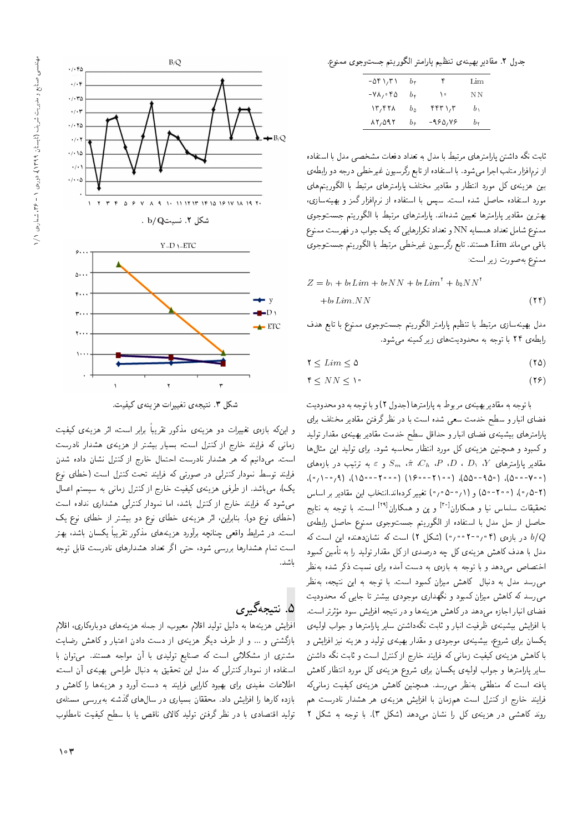

شكل ٣. نتيجهى تغييرات هزينهى كيفيت.

و این۵د بازهی تغییرات دو هزینهی مذکور تقریبا برابر است، اثر هزینهی کیفیت<br>بازی کردناست با سال کردار است زمانی که فرایند خارج از کنترل است، بسیار بیشتر از هزینهی هشدار نادرست است. می دانیم که هر هشدار نادرست احتمال خارج از کنترل نشان داده شدن فرایند توسط نمودار کنترلمی در صورتی که فرایند تحت کنترل است (خطای نوع یک)، میباشد. از طرفی هزینهی کیفیت خارج از کنترل زمانی به سیستم اعمال میشود که فرایند خارج از کنترل باشد، اما نمودار کنترلی هشداری نداده است (خطاى نوع دو). بنابراين، اثر هزينهى خطاى نوع دو بيشتر از خطاى نوع يك است. در شرایط واقعی چنانچه برآورد هزینههای مذکور تقریبا یکسان باشد، بهتر<br>ا است تمام هشدارها بررسی شود، حتی اگر تعداد هشدارهای نادرست قابل توجه باشد.

# ۵. نتيجەگي<sub>ى</sub>رى

افزایش هزینهها به دلیل تولید اقلام معیوب، از جمله هزینههای دوبارهکاری، اقلام بازگشتی و ... و از طرف دیگر هزینهی از دست دادن اعتبار و کاهش رضایت مشتری از مشکلاتی است که صنایع تولیدی با آن مواجه هستند. میتوان با استفاده از نمودار کنترلی که مدل این تحقیق به دنبال طراحی بهینهی آن است، اطلاعات مفیدی برای بهبود کارایی فرایند به دست آورد و هزینهها را کاهش و بازده كارها را افزايش داد. محققان بسيارى در سالαهاى گذشته بهبررسى مسئلهى توليد اقتصادى با در نظر گرفتن توليد كالاى ناقص يا با سطح كيفيت نامطلوب

جدول ٢. مقادير بهينهي تنظيم يارامتر الكوريتم جست وجوى ممنوع.

| ۶۸۲۱٫۳۱ -                  | br           | ٣        | Lim            |
|----------------------------|--------------|----------|----------------|
| ۲۵ - ۷۸ -                  | br           | ه ۱      | NΝ             |
| $\mathcal{N}, \mathcal{N}$ | $b_{\wedge}$ | ۴۴۳۱٫۳   | b <sub>1</sub> |
| $\lambda Y, \Delta 9Y$     | b¢           | -980, VS | b,             |

ئابت نگه داشتن پارامترهای مرتبط با مدل به تعداد دفعات مشخصبی مدل با استفاده از نرم|فزار متلب اجرا مىشود. با استفاده از تابع رگرسيون غيرخطى درجه دو رابطهى بین هزینهی کل مورد انتظار و مقادیر مختلف پارامترهای مرتبط با الگوریتمهای مورد استفاده حاصل شده است. سیس با استفاده از نرمافزار گمز و بهینهسازی، بهترين مقادير پارامترها تعيين شدهاند. پارامترهاى مرتبط با الگوريتم جستوجوى ممنوع شامل تعداد همسايه NN و تعداد تكرارهايي كه يك جواب در فهرست ممنوع باقي ميءاند Lim هستند. تابع رگرسيون غيرخطي مرتبط با الگوريتم جستوجوي ممنوع بهصورت زير است:

$$
Z = b_1 + b_1 Lim + b_1 NN + b_1 Lim^{\dagger} + b_2 NN^{\dagger}
$$
  
+ $b_2 Lim.NN$  (11)

مدل بهينهسازى مرتبط با تنظيم پارامتر الگوريتم جستوجوى ممنوع با تابع هدف رابطهى ٢۴ با توجه به محدوديت هاى زيركمينه مى شود.

- $\mathcal{X} \leq Lim \leq \mathcal{Q}$  (70)
- $f \leq N N \leq 1$ <sup>o</sup> (15)

با توجه به مقادير بهينهي مربوط به پارامترها (جدول ٢) و با توجه به دو محدوديت فضای انبار و سطح خدمت سعی شده است با در نظر گرفتن مقادیر مختلف برای پارامترهای بیشینهی فضای انبار و حداقل سطح خدمت مقادیر بهینهی مقدار تولید و کمبود و همچنین هزینهی کل مورد انتظار محاسبه شود. برای تولید این مثال ها مقادیر پارلمترهای V، (D ، D، (Y، ته،  $S_m$ ،  $\hat{\pi}$ ، (Ch، P، D، (Y،  $Y$ وغای $\lambda$ ) (۲۰۰–۱۰۰۱)، (۲۰۰–۱۰۰۱)، (۲۰۰–۱۰۰۱)، (0 9 9 - 0 90), (0 9 - 0 90), (0 91 - 0 91), (0 9 - 1 - 0 90), (1 9 - 1 9 - 1 0 - 1 0 - 1 0 - 1 0 - 1 0 - 1 0<br>(محمد ) درج المحمد ) (درج المحمد ) وزير المحمد المحمد المحمد المحمد المحمد المحمد المحمد المحمد المحمد المحمد (۲+۵٫۰)، (۵۰۰°–۵) و (۱٫۵−۵۰) تغییر کردهاند.انتخاب این مقادیر بر اساس<br>میتوان میلیان میلی افزایل تحقیقات سلماس نیا و همکاران<sup>[۳۹]</sup> و پن و همکاران<sup>[۲۹]</sup> است. با توجه به نتایج<br>ت حاصل از حل مدل با استفاده از الگوریتم جستوجوی ممنوع حاصل رابطهی در بازهی (۲۰۰۴-۱۰۰ (شکل ۲) است که نشاندهنده این است که  $b/Q$ مدل با هدف کاهش هزینهی کل چه درصدی از کل مقدار تولید را به تأمین کمبود اختصاص می،دهد و با توجه به بازهی به دست آمده برای نسبت ذکر شده بهنظر می رسد مدل به دنبال کاهش میزان کمبود است. با توجه به این نتیجه، بهنظر می رسد که کاهش میزان کمبود و نگهداری موجودی بیشتر تا جایی که محدودیت فضای انبار اجازه می دهد در کاهش هزینهها و در نتیجه افزایش سود مؤثرتر است.<br>ایا زاید میسیند به مطالعت میان میلی میگیرد. ر<br>ا با افزایش بیشینهی ظرفیت انبار و ثابت نگهداشتن سایر پارامترها و جواب اولیهی<br>کرایستان میساند یکسان برای شروع، بیشینهی موجودی و مقدار بهینهی تولید و هزینه نیز افزایش و با کاهش هزینهی کیفیت زمانی که فرایند خارج از کنترل است و ثابت نگه داشتن سایر پارامترها و جواب اولیهی یکسان برای شروع هزینهی کل مورد انتظار کاهش یافته است که منطقی بهنظر می رسد. همچنین کاهش هزینهی کیفیت زمانی که فرایند خارج از کنترل است همزمان با افزایش هزینهی هر هشدار نادرست هم روند کاهشی در هزینهی کل را نشان می دهد (شکل ۳). با توجه به شکل ۲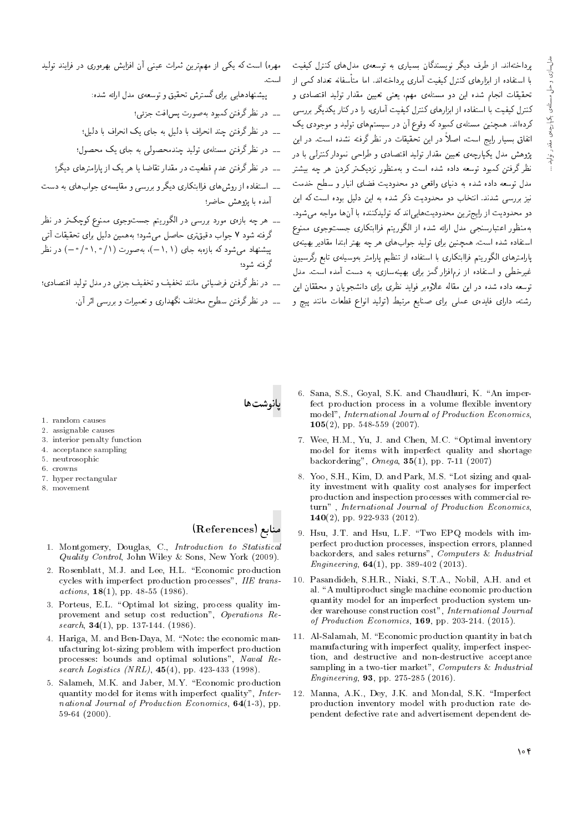برداختهاند. از طرف دیگر نویسندگان بسیاری به توسعهی مدل های کنترل کیفیت با استفاده از ابزارهای کنترل کیفیت آماری برداختهاند. اما متأسفانه تعداد کمی از تحقیقات انجام شده این دو مسئلهی مهم، یعنی تعیین مقدار تولید اقتصادی و کنترل کیفیت با استفاده از ابزارهای کنترل کیفیت آماری، را در کنار یکدیگر بررسی کردهاند. همچنین مسئلهی کمبود که وقوع آن در سیستمهای تولید و موجودی یک اتفاق بسیار رایج است، اصلاً در این تحقیقات در نظر گرفته نشده است. در این یژوهش مدل یکپارچهی تعیین مقدار تولید اقتصادی و طراحی نمودار کنترلمی با در .<br>نظر گرفتن کمبود توسعه داده شده است و پهمنظور نزدیک تر کردن هر چه پیشتر مدل توسعه داده شده به دنیای واقعی دو محدودیت فضای انبار و سطح خدمت نیز بررسی شدند. انتخاب دو محدودیت ذکر شده به این دلیل بوده است که این دو محدودیت از رایجترین محدودیتهایی اند که تولیدکننده با آنها مواجه می شود. بهمنظور اعتبارسنجي مدل ارائه شده از الكوريتم فراابتكارى جستوجوى ممنوع استفاده شده است. همچنین برای تولید جوابهای هر چه بهتر ابتدا مقادیر بهینهی بإرامترهای الگوریتم فراابتکاری با استفاده از تنظیم پارامتر بهوسیلهی تابع رگرسیون غیرخطی و استفاده از نرمافزار گمز برای بهینهسازی، به دست آمده است. مدل توسعه داده شده در این مقاله علاوه بر فواید نظری برای دانشجویان و محققان این رشته، دارای فایدهی عملی برای صنایع مرتبط (تولید انواع قطعات مانند پیچ و

مهره) است که یکی از مهمترین ثمرات عینی آن افزایش بهرهوری در فرایند تولید

یشنهادهایی رای گسترش تحقیق و توسعهی مدل ارائه شده:

- ۔۔ در نظر گرفتن کمبود بهصورت پس افت جزئی؛
- ۔۔ در نظر گرفتن چند انحراف با دلیل به جای یک انحراف با دلیل؛
- ۔۔ در نظر گرفتن مسئلهی تولید جندمحصولی به جای بک محصول؛
- \_\_ در نظرگرفتن عدم قطعیت در مقدار تقاضا با هر یک از یارامترهای دیگر؛
- ــ استفاده از روشهای فراابتکاری دیگر و بررسی و مقایسهی جوابهای به دست آمده با پژوهش حاضر؛
- ـــ هر چه بازهی مورد بررسی در الگوریتم جستوجوی ممنوع کوچکتر در نظر گرفته شود ۷ جواب دقیقتری حاصل می شود؛ به همین دلیل برای تحقیقات آتی پیشنهاد می شود که بازهبه جای (۰۱٫۱)، بهصورت (۰/۰٫۰/۱) در نظر گرفته شود؛

ـــ در نظرگرفتن فرضیاتی مانند تخفیف و تخفیف جزئی در مدل تولید اقتصادی؛

۔۔ در نظر گرفتن سطوح مختلف نگھداری و تعمیرات و بررسے اثر آن

- 1. random causes
- 2. assignable causes
- 3. interior penalty function
- 4. acceptance sampling 5. neutrosophic
- 6. crowns
- 7. hyper rectangular
- 8. movement

## منابع (References)

- 1. Montgomery, Douglas, C., Introduction to Statistical Quality Control, John Wiley & Sons, New York (2009).
- 2. Rosenblatt, M.J. and Lee, H.L. "Economic production cycles with imperfect production processes", IIE trans $actions, 18(1), pp. 48-55 (1986).$
- 3. Porteus, E.L. "Optimal lot sizing, process quality improvement and setup cost reduction", Operations Research,  $34(1)$ , pp. 137-144. (1986).
- 4. Hariga, M. and Ben-Daya, M. "Note: the economic manufacturing lot-sizing problem with imperfect production processes: bounds and optimal solutions", Naval Research Logistics (NRL),  $45(4)$ , pp. 423-433 (1998).
- 5. Salameh, M.K. and Jaber, M.Y. "Economic production quantity model for items with imperfect quality", International Journal of Production Economics,  $64(1-3)$ , pp.  $59-64(2000)$ .
- 6. Sana, S.S., Goyal, S.K. and Chaudhuri, K. "An imperfect production process in a volume flexible inventory model", International Journal of Production Economics,  $105(2)$ , pp. 548-559 (2007).
- 7. Wee, H.M., Yu, J. and Chen, M.C. "Optimal inventory model for items with imperfect quality and shortage backordering",  $Omega, 35(1), pp. 7-11(2007)$
- 8. Yoo, S.H., Kim, D. and Park, M.S. "Lot sizing and quality investment with quality cost analyses for imperfect production and inspection processes with commercial return", International Journal of Production Economics,  $140(2)$ , pp. 922-933 (2012).
- 9. Hsu, J.T. and Hsu, L.F. "Two EPQ models with imperfect production processes, inspection errors, planned backorders, and sales returns", Computers & Industrial *Engineering*,  $64(1)$ , pp. 389-402 (2013).
- 10. Pasandideh, S.H.R., Niaki, S.T.A., Nobil, A.H. and et al. "A multiproduct single machine economic production quantity model for an imperfect production system under warehouse construction cost", International Journal of Production Economics,  $169$ , pp. 203-214. (2015).
- 11. Al-Salamah, M. "Economic production quantity in batch manufacturing with imperfect quality, imperfect inspection, and destructive and non-destructive acceptance sampling in a two-tier market", Computers & Industrial *Engineering*, 93, pp. 275-285 (2016).
- 12. Manna, A.K., Dey, J.K. and Mondal, S.K. "Imperfect production inventory model with production rate dependent defective rate and advertisement dependent de-